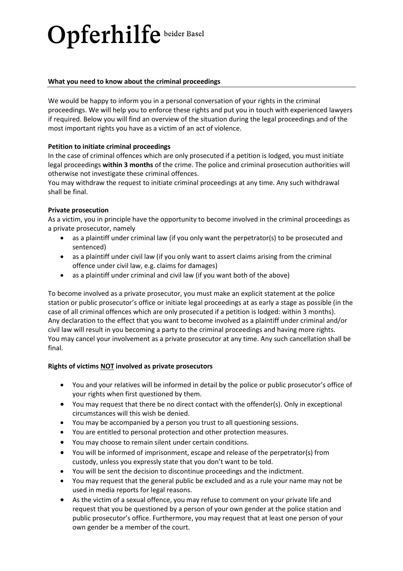# Opferhilfe beider Basel

## **What you need to know about the criminal proceedings**

We would be happy to inform you in a personal conversation of your rights in the criminal proceedings. We will help you to enforce these rights and put you in touch with experienced lawyers if required. Below you will find an overview of the situation during the legal proceedings and of the most important rights you have as a victim of an act of violence.

## **Petition to initiate criminal proceedings**

In the case of criminal offences which are only prosecuted if a petition is lodged, you must initiate legal proceedings **within 3 months** of the crime. The police and criminal prosecution authorities will otherwise not investigate these criminal offences.

You may withdraw the request to initiate criminal proceedings at any time. Any such withdrawal shall be final.

## **Private prosecution**

As a victim, you in principle have the opportunity to become involved in the criminal proceedings as a private prosecutor, namely

- as a plaintiff under criminal law (if you only want the perpetrator(s) to be prosecuted and sentenced)
- as a plaintiff under civil law (if you only want to assert claims arising from the criminal offence under civil law, e.g. claims for damages)
- as a plaintiff under criminal and civil law (if you want both of the above)

To become involved as a private prosecutor, you must make an explicit statement at the police station or public prosecutor's office or initiate legal proceedings at as early a stage as possible (in the case of all criminal offences which are only prosecuted if a petition is lodged: within 3 months). Any declaration to the effect that you want to become involved as a plaintiff under criminal and/or civil law will result in you becoming a party to the criminal proceedings and having more rights. You may cancel your involvement as a private prosecutor at any time. Any such cancellation shall be final.

## **Rights of victims NOT involved as private prosecutors**

- You and your relatives will be informed in detail by the police or public prosecutor's office of your rights when first questioned by them.
- You may request that there be no direct contact with the offender(s). Only in exceptional circumstances will this wish be denied.
- You may be accompanied by a person you trust to all questioning sessions.
- You are entitled to personal protection and other protection measures.
- You may choose to remain silent under certain conditions.
- You will be informed of imprisonment, escape and release of the perpetrator(s) from custody, unless you expressly state that you don't want to be told.
- You will be sent the decision to discontinue proceedings and the indictment.
- You may request that the general public be excluded and as a rule your name may not be used in media reports for legal reasons.
- As the victim of a sexual offence, you may refuse to comment on your private life and request that you be questioned by a person of your own gender at the police station and public prosecutor's office. Furthermore, you may request that at least one person of your own gender be a member of the court.